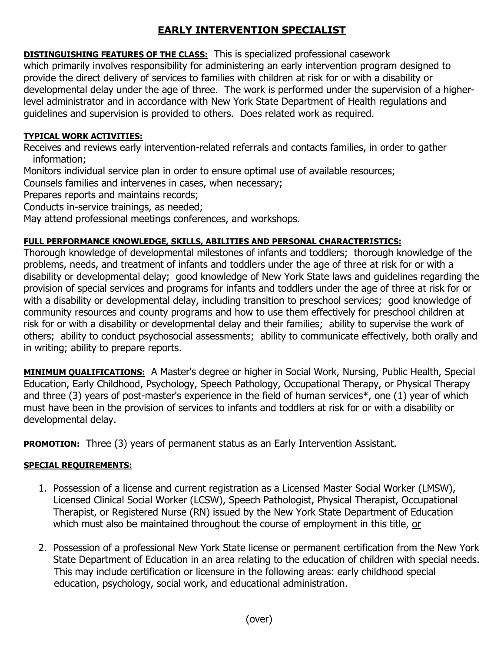## **EARLY INTERVENTION SPECIALIST**

**DISTINGUISHING FEATURES OF THE CLASS:** This is specialized professional casework which primarily involves responsibility for administering an early intervention program designed to provide the direct delivery of services to families with children at risk for or with a disability or developmental delay under the age of three. The work is performed under the supervision of a higherlevel administrator and in accordance with New York State Department of Health regulations and guidelines and supervision is provided to others. Does related work as required.

## **TYPICAL WORK ACTIVITIES:**

Receives and reviews early intervention-related referrals and contacts families, in order to gather information;

Monitors individual service plan in order to ensure optimal use of available resources;

Counsels families and intervenes in cases, when necessary;

Prepares reports and maintains records;

Conducts in-service trainings, as needed;

May attend professional meetings conferences, and workshops.

## **FULL PERFORMANCE KNOWLEDGE, SKILLS, ABILITIES AND PERSONAL CHARACTERISTICS:**

Thorough knowledge of developmental milestones of infants and toddlers; thorough knowledge of the problems, needs, and treatment of infants and toddlers under the age of three at risk for or with a disability or developmental delay; good knowledge of New York State laws and guidelines regarding the provision of special services and programs for infants and toddlers under the age of three at risk for or with a disability or developmental delay, including transition to preschool services; good knowledge of community resources and county programs and how to use them effectively for preschool children at risk for or with a disability or developmental delay and their families; ability to supervise the work of others; ability to conduct psychosocial assessments; ability to communicate effectively, both orally and in writing; ability to prepare reports.

**MINIMUM QUALIFICATIONS:** A Master's degree or higher in Social Work, Nursing, Public Health, Special Education, Early Childhood, Psychology, Speech Pathology, Occupational Therapy, or Physical Therapy and three (3) years of post-master's experience in the field of human services\*, one (1) year of which must have been in the provision of services to infants and toddlers at risk for or with a disability or developmental delay.

**PROMOTION:** Three (3) years of permanent status as an Early Intervention Assistant.

## **SPECIAL REQUIREMENTS:**

- 1. Possession of a license and current registration as a Licensed Master Social Worker (LMSW), Licensed Clinical Social Worker (LCSW), Speech Pathologist, Physical Therapist, Occupational Therapist, or Registered Nurse (RN) issued by the New York State Department of Education which must also be maintained throughout the course of employment in this title, or
- 2. Possession of a professional New York State license or permanent certification from the New York State Department of Education in an area relating to the education of children with special needs. This may include certification or licensure in the following areas: early childhood special education, psychology, social work, and educational administration.